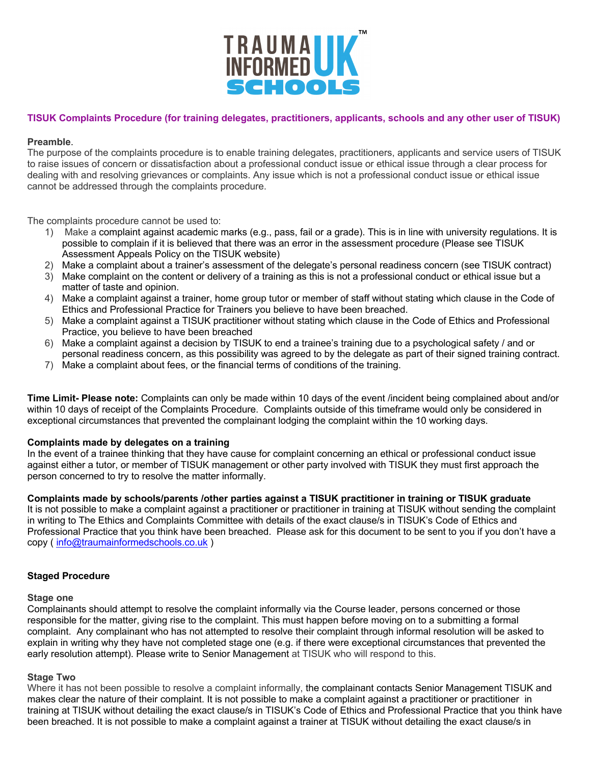

# **TISUK Complaints Procedure (for training delegates, practitioners, applicants, schools and any other user of TISUK)**

### **Preamble**.

The purpose of the complaints procedure is to enable training delegates, practitioners, applicants and service users of TISUK to raise issues of concern or dissatisfaction about a professional conduct issue or ethical issue through a clear process for dealing with and resolving grievances or complaints. Any issue which is not a professional conduct issue or ethical issue cannot be addressed through the complaints procedure.

The complaints procedure cannot be used to:

- 1) Make a complaint against academic marks (e.g., pass, fail or a grade). This is in line with university regulations. It is possible to complain if it is believed that there was an error in the assessment procedure (Please see TISUK Assessment Appeals Policy on the TISUK website)
- 2) Make a complaint about a trainer's assessment of the delegate's personal readiness concern (see TISUK contract)
- 3) Make complaint on the content or delivery of a training as this is not a professional conduct or ethical issue but a matter of taste and opinion.
- 4) Make a complaint against a trainer, home group tutor or member of staff without stating which clause in the Code of Ethics and Professional Practice for Trainers you believe to have been breached.
- 5) Make a complaint against a TISUK practitioner without stating which clause in the Code of Ethics and Professional Practice, you believe to have been breached
- 6) Make a complaint against a decision by TISUK to end a trainee's training due to a psychological safety / and or personal readiness concern, as this possibility was agreed to by the delegate as part of their signed training contract.
- 7) Make a complaint about fees, or the financial terms of conditions of the training.

**Time Limit- Please note:** Complaints can only be made within 10 days of the event /incident being complained about and/or within 10 days of receipt of the Complaints Procedure. Complaints outside of this timeframe would only be considered in exceptional circumstances that prevented the complainant lodging the complaint within the 10 working days.

#### **Complaints made by delegates on a training**

In the event of a trainee thinking that they have cause for complaint concerning an ethical or professional conduct issue against either a tutor, or member of TISUK management or other party involved with TISUK they must first approach the person concerned to try to resolve the matter informally.

## **Complaints made by schools/parents /other parties against a TISUK practitioner in training or TISUK graduate**

It is not possible to make a complaint against a practitioner or practitioner in training at TISUK without sending the complaint in writing to The Ethics and Complaints Committee with details of the exact clause/s in TISUK's Code of Ethics and Professional Practice that you think have been breached. Please ask for this document to be sent to you if you don't have a copy ( info@traumainformedschools.co.uk )

#### **Staged Procedure**

#### **Stage one**

Complainants should attempt to resolve the complaint informally via the Course leader, persons concerned or those responsible for the matter, giving rise to the complaint. This must happen before moving on to a submitting a formal complaint. Any complainant who has not attempted to resolve their complaint through informal resolution will be asked to explain in writing why they have not completed stage one (e.g. if there were exceptional circumstances that prevented the early resolution attempt). Please write to Senior Management at TISUK who will respond to this.

#### **Stage Two**

Where it has not been possible to resolve a complaint informally, the complainant contacts Senior Management TISUK and makes clear the nature of their complaint. It is not possible to make a complaint against a practitioner or practitioner in training at TISUK without detailing the exact clause/s in TISUK's Code of Ethics and Professional Practice that you think have been breached. It is not possible to make a complaint against a trainer at TISUK without detailing the exact clause/s in